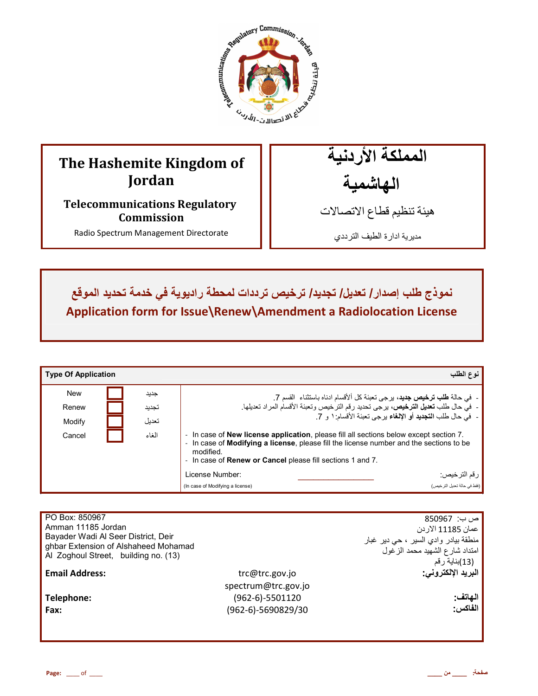

# **The Hashemite Kingdom of Jordan**

**Telecommunications Regulatory Commission** 

Radio Spectrum Management Directorate

المملكة الأردنية الـهاشمية

هيئة تنظيم قطاع الاتصـالات

مديرية ادارة الطيف الترددي

 **<= ذج BA إدار / %'F E/ %FG F/ JK#HI %رددات ط راد و M6 #د %د د اوNO Application form for Issue\Renew\Amendment a Radiolocation License**

| <b>Type Of Application</b> |       | نوع الطلب                                                                                                                                                                                                                                                                       |
|----------------------------|-------|---------------------------------------------------------------------------------------------------------------------------------------------------------------------------------------------------------------------------------------------------------------------------------|
| <b>New</b>                 | جديد  | -  في حالة <b>طلب ترخيص جديد</b> ، يرجى تعبئة كل ألأقسام ادناه باستثناء  القسم 7.                                                                                                                                                                                               |
| Renew                      | تجديد | -  في حال طلب <b>تعديل الترخيص</b> ، يرجى تحديد رقم الترخيص وتعبئة الأقسام المراد تعديلها.                                                                                                                                                                                      |
| Modify                     | تعديل | -  في حال طلب ا <b>لتجديد</b> أو الإلغاء برجي تعبئة الأقسام: ١ و 7.                                                                                                                                                                                                             |
| Cancel                     | الغاء | In case of <b>New license application</b> , please fill all sections below except section 7.<br>In case of <b>Modifying a license</b> , please fill the license number and the sections to be<br>modified.<br>- In case of <b>Renew or Cancel</b> please fill sections 1 and 7. |
|                            |       | ر قم الترخيص:<br>License Number:                                                                                                                                                                                                                                                |
|                            |       | (فقط في حالة تعديل التر خيص)<br>(In case of Modifying a license)                                                                                                                                                                                                                |

| PO Box: 850967<br>Amman 11185 Jordan<br>Bayader Wadi Al Seer District, Deir<br>ghbar Extension of Alshaheed Mohamad<br>Al Zoghoul Street, building no. (13) |                     | ص ب:  850967<br>عمان 11185 الار دن<br><sub>ا</sub> منطقة بيادر وادي السير ، حي دير غبار<br>امتداد شارع الشهيد محمد الزغول<br>(13)بناية رقم |
|-------------------------------------------------------------------------------------------------------------------------------------------------------------|---------------------|--------------------------------------------------------------------------------------------------------------------------------------------|
| <b>Email Address:</b>                                                                                                                                       | trc@trc.gov.jo      | البريد الإلكتروني:                                                                                                                         |
|                                                                                                                                                             | spectrum@trc.gov.jo |                                                                                                                                            |
| Telephone:                                                                                                                                                  | $(962-6)-5501120$   | الهاتف:                                                                                                                                    |
| Fax:                                                                                                                                                        | (962-6)-5690829/30  | الفاكس:                                                                                                                                    |
|                                                                                                                                                             |                     |                                                                                                                                            |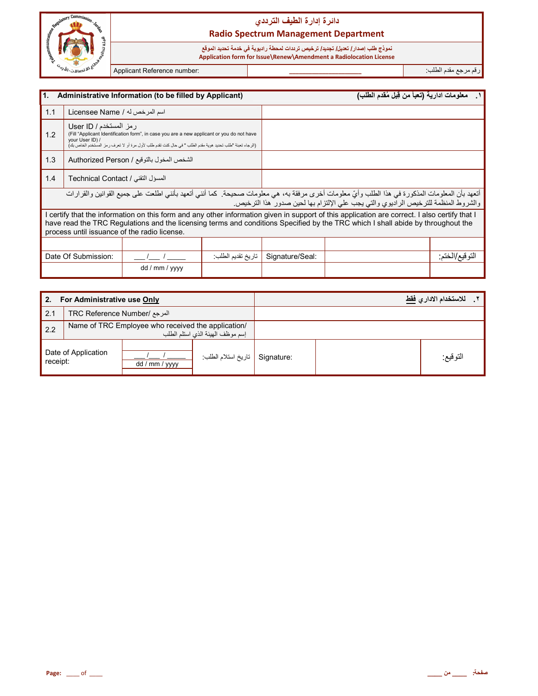

نموذج طلب إصدار **/ تعديل/ تجديد/ ترخيص ترددات لمحطة ر**اديوية في خدمة تحديد الموقع  **Application form for Issue\Renew\Amendment a Radiolocation License**

رم رf &دم اط\*ب: **\_\_\_\_\_\_\_\_\_\_\_\_\_\_\_\_\_\_\_\_\_\_** :number Reference Applicant

İ

| $\overline{1}$ .                                                                                                                                                                                                                                                                                                                 |                                           | Administrative Information (to be filled by Applicant)                                                                                                                                                 |                   |                 | معلومات ادارية (تعبأ من قِبل مُقدم الطلب)                                          |                 |
|----------------------------------------------------------------------------------------------------------------------------------------------------------------------------------------------------------------------------------------------------------------------------------------------------------------------------------|-------------------------------------------|--------------------------------------------------------------------------------------------------------------------------------------------------------------------------------------------------------|-------------------|-----------------|------------------------------------------------------------------------------------|-----------------|
| 1.1                                                                                                                                                                                                                                                                                                                              | اسم المرخص له / Licensee Name             |                                                                                                                                                                                                        |                   |                 |                                                                                    |                 |
| 1.2                                                                                                                                                                                                                                                                                                                              | رمز المستخدم / User ID<br>your User ID) / | (Fill "Applicant Identification form", in case you are a new applicant or you do not have<br>(الرجاء تعبئة "طلب تحديد هوية مقدم الطلب " في حال كنت تقدم طلب لأول مرة أو لا تعرف رمز المستخدم الخاص بك) |                   |                 |                                                                                    |                 |
| 1.3                                                                                                                                                                                                                                                                                                                              |                                           | الشخص المخول بالتوقيع / Authorized Person                                                                                                                                                              |                   |                 |                                                                                    |                 |
| 1.4                                                                                                                                                                                                                                                                                                                              | المسؤل التقني / Technical Contact         |                                                                                                                                                                                                        |                   |                 |                                                                                    |                 |
| أتعهد بأن المعلومات المذكورة في هذا الطلب وأيّ معلومات أخرى مرفقة به، هي معلومات صحيحة. كما أنني أتعهد بأنني اطلعت على جميع القوانين والقرارات                                                                                                                                                                                   |                                           |                                                                                                                                                                                                        |                   |                 | والشروط المنظمة للترخيص الراديوي والتي يجب على الإلتزام بها لحين صدور هذا الترخيص. |                 |
| I certify that the information on this form and any other information given in support of this application are correct. I also certify that I<br>have read the TRC Regulations and the licensing terms and conditions Specified by the TRC which I shall abide by throughout the<br>process until issuance of the radio license. |                                           |                                                                                                                                                                                                        |                   |                 |                                                                                    |                 |
|                                                                                                                                                                                                                                                                                                                                  |                                           |                                                                                                                                                                                                        |                   |                 |                                                                                    |                 |
|                                                                                                                                                                                                                                                                                                                                  | Date Of Submission:                       |                                                                                                                                                                                                        | تاريخ تقديم الطلب | Signature/Seal: |                                                                                    | التو فيع/الختم: |
|                                                                                                                                                                                                                                                                                                                                  |                                           | dd / mm / yyyy                                                                                                                                                                                         |                   |                 |                                                                                    |                 |

| 2.       | For Administrative use Only  |                                                    |                                  |  | للاستخدام الادار يفقط |
|----------|------------------------------|----------------------------------------------------|----------------------------------|--|-----------------------|
| 2.1      | المرجع /TRC Reference Number |                                                    |                                  |  |                       |
| 2.2      |                              | Name of TRC Employee who received the application/ | إسم موظف الهيئة الذي استلم الطلب |  |                       |
| receipt: | Date of Application          | dd / mm / yyyy                                     | Signature   تاريخ استلام الطلب   |  | التوقيع:              |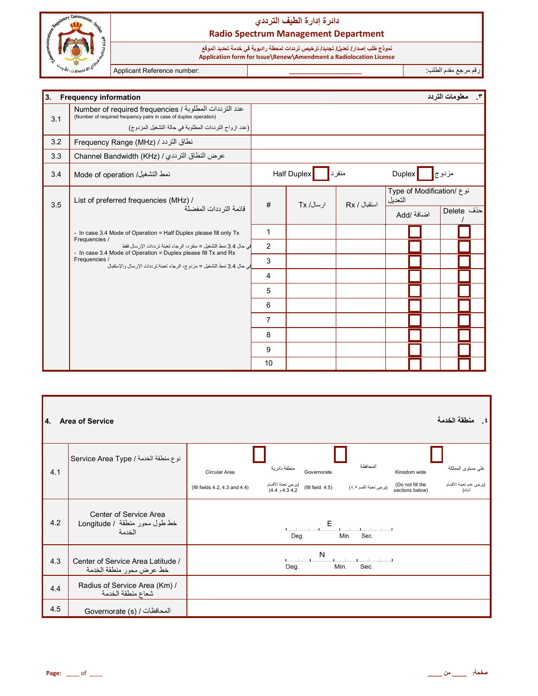

نموذج طلب إصدار/ تعريل/ تجديد/ ترخيص ترددات لمحطة راديوية في خدمة تحديد الموقع<br>Application form for Issue\Renew\Amendment a Radiolocation License

Applicant Reference number:

رقم مرجع مقدم الطلب:

| 3.  | <b>Frequency information</b>                                                                                                                                                        |                |             |              |         |                           | ٢. معلومات التردد    |  |
|-----|-------------------------------------------------------------------------------------------------------------------------------------------------------------------------------------|----------------|-------------|--------------|---------|---------------------------|----------------------|--|
| 3.1 | عدد الترددات المطلوبة / Number of required frequencies<br>(Number of required frequency pairs in case of duplex operation)<br>(عدد ازواج الترددات المطلوبة في حالة التشغيل المزدوج) |                |             |              |         |                           |                      |  |
|     |                                                                                                                                                                                     |                |             |              |         |                           |                      |  |
| 3.2 | نطاق التردد / Frequency Range (MHz)                                                                                                                                                 |                |             |              |         |                           |                      |  |
| 3.3 | عرض النطاق الترددي / Channel Bandwidth (KHz)                                                                                                                                        |                |             |              |         |                           |                      |  |
| 3.4 | نمط التشغيل/ Mode of operation                                                                                                                                                      |                | Half Duplex | منفرد        | Duplex  |                           | مزدوج <mark> </mark> |  |
| 3.5 | List of preferred frequencies (MHz) /                                                                                                                                               | #              | ار سال/ Tx  | استقبال / Rx | التعدبل | نوع /Type of Modification |                      |  |
|     | قائمة الترددات المفضلة<br>- In case 3.4 Mode of Operation = Half Duplex please fill only Tx                                                                                         |                |             |              |         | اضافة /Add                | حذف Delete           |  |
|     | Frequencies /                                                                                                                                                                       | 1              |             |              |         |                           |                      |  |
|     | في حال 3.4 نمط التشغيل = منفر د، الر جاء تعبئة تر ددات الإر سال فقط<br>- In case 3.4 Mode of Operation = Duplex please fill Tx and Rx                                               | $\overline{2}$ |             |              |         |                           |                      |  |
|     | Frequencies /<br>في حال 3.4 نمط التشغيل = مز دو ج، الر جاء تعينة تر ددات الإر سال و الإستقبال                                                                                       | 3              |             |              |         |                           |                      |  |
|     |                                                                                                                                                                                     | $\overline{4}$ |             |              |         |                           |                      |  |
|     |                                                                                                                                                                                     | 5              |             |              |         |                           |                      |  |
|     |                                                                                                                                                                                     | 6              |             |              |         |                           |                      |  |
|     |                                                                                                                                                                                     | $\overline{7}$ |             |              |         |                           |                      |  |
|     |                                                                                                                                                                                     | 8              |             |              |         |                           |                      |  |
|     |                                                                                                                                                                                     | 9              |             |              |         |                           |                      |  |
|     |                                                                                                                                                                                     | 10             |             |              |         |                           |                      |  |

| 4.  | <b>Area of Service</b>                                            |                                |                                       |                     |                                           |                                     | منطقة الخدمة<br>્. દ              |
|-----|-------------------------------------------------------------------|--------------------------------|---------------------------------------|---------------------|-------------------------------------------|-------------------------------------|-----------------------------------|
| 4.1 | نوع منطقة الخدمة / Service Area Type                              | Circular Area                  | منطقة دائرية                          | Governorate         | المحافظة                                  | Kingdom wide                        | على مستوى المملكة                 |
|     |                                                                   | (fill fields 4.2, 4.3 and 4.4) | (برجى تعبئة الأقسام<br>4.3 4.2 و 4.4) | (fill field $4.5$ ) | (يرجى تعبئة القسم ٤٥٥)                    | (Do not fill the<br>sections below) | (يرجى عدم تعبئة الأقسام<br>أدناه) |
| 4.2 | Center of Service Area<br>خط طول محور منطقة / Longitude<br>الخدمة |                                | Deg.                                  | Е                   | Min.<br>Sec.                              |                                     |                                   |
| 4.3 | Center of Service Area Latitude /<br>خط عرض محور منطقة الخدمة     |                                | Deg.                                  | N<br>Min.           | <b>The Community of Community</b><br>Sec. |                                     |                                   |
| 4.4 | Radius of Service Area (Km) /<br>شعاع منطقة الخدمة                |                                |                                       |                     |                                           |                                     |                                   |
| 4.5 | المحافظات / (Governorate (s                                       |                                |                                       |                     |                                           |                                     |                                   |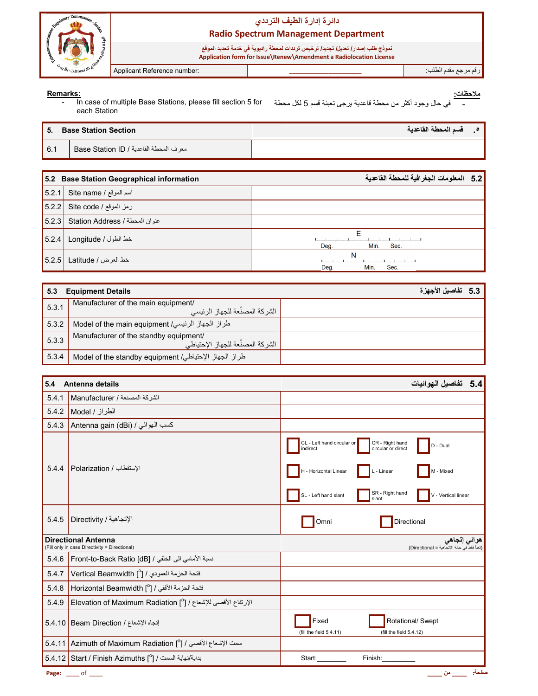

نموذج طلب إصدار/ تعريل/ تجديد/ ترخيص تر ددات لمحطة ر اديوية في خدمة تحديد الموقع<br>Application form for Issue\Renew\Amendment a Radiolocation License

Applicant Reference number:

رقم مرجع مقدم الطلب:

#### Remarks:

<u>ملاحظات:</u> في حال وجود أكثر من محطة قاعدية برجي نعبئة قسم 5 لكل محطة In case of multiple Base Stations, please fill section 5 for  $\blacksquare$ each Station

| -5. | <b>Base Station Section</b>              | 0 _ _ _ قسم المحطة القاعدية |  |
|-----|------------------------------------------|-----------------------------|--|
| 6.1 | ً معرف المحطة القاعدية / Base Station ID |                             |  |

|       | 5.2 Base Station Geographical information | 5.2 المعلومات الجغرافية للمحطة القاعدية |
|-------|-------------------------------------------|-----------------------------------------|
| 5.2.1 | اسم الموقع / Site name                    |                                         |
| 5.2.2 | رمز الموقع / Site code                    |                                         |
| 5.2.3 | Station Address / عنوان المحطة            |                                         |
| 5.2.4 | خط الطول / Longitude                      | c<br>Min.<br>Deg.<br>Sec.               |
| 5.2.5 | خط العرض / Latitude                       | N<br>Min.<br>Sec.<br>Deg.               |

| 5.3   | <b>Equipment Details</b>                                                    | 5.3 تفاصيل الاجهز ة |  |
|-------|-----------------------------------------------------------------------------|---------------------|--|
| 5.3.1 | Manufacturer of the main equipment/<br>، الشر كة المصنِّعة للجهاز الرئيسي   |                     |  |
| 5.3.2 | طراز الجهاز الرئيسي/ Model of the main equipment                            |                     |  |
| 5.3.3 | Manufacturer of the standby equipment/<br>الشركة المصنِّعة للجهاز الإحتياطي |                     |  |
| 5.3.4 | طراز الجهاز الإحتياطي/ Model of the standby equipment                       |                     |  |

| 5.4   | Antenna details                                                             | 5.4 تفاصيل الـهوائيات                                                                                                                                                                                                        |
|-------|-----------------------------------------------------------------------------|------------------------------------------------------------------------------------------------------------------------------------------------------------------------------------------------------------------------------|
| 5.4.1 | الشركة المصنعة / Manufacturer                                               |                                                                                                                                                                                                                              |
| 5.4.2 | الطراز / Model                                                              |                                                                                                                                                                                                                              |
| 5.4.3 | Antenna gain (dBi) / كسب الهوائي                                            |                                                                                                                                                                                                                              |
| 5.4.4 | الإستقطاب / Polarization                                                    | CL - Left hand circular or<br>CR - Right hand<br>D - Dual<br>circular or direct<br>indirect<br>H - Horizontal Linear<br>$L - Linear$<br>M - Mixed<br>SR - Right hand<br>SL - Left hand slant<br>V - Vertical linear<br>slant |
| 5.4.5 | الإتجاهية / Directivity                                                     | Directional<br>Omni                                                                                                                                                                                                          |
|       | <b>Directional Antenna</b><br>(Fill only in case Directivity = Directional) | هوائي إتجاهي<br>(تَعِبَأَ فَقَطْ في حالةَ الاتَجَاهِيَّةَ = Directional)                                                                                                                                                     |
| 5.4.6 | نسبة الأمامي الى الخلفي / [6B] Front-to-Back Ratio                          |                                                                                                                                                                                                                              |
| 5.4.7 | فتحة الحزمة العمودي / [0] Vertical Beamwidth                                |                                                                                                                                                                                                                              |
| 5.4.8 | Horizontal Beamwidth [ $^0$ ] / الأفقى / [                                  |                                                                                                                                                                                                                              |
| 5.4.9 | الإرتفاع الأقصى للإشعاع / [0] Elevation of Maximum Radiation                |                                                                                                                                                                                                                              |
|       | إتجاه الإشعاع / Beam Direction   5.4.10                                     | Fixed<br>Rotational/ Swept<br>(fill the field 5.4.11)<br>(fill the field 5.4.12)                                                                                                                                             |
|       | سمت الإشعاع الأقصى / [ <sup>0</sup> ] Azimuth of Maximum Radiation [        |                                                                                                                                                                                                                              |
|       | بداية/نهاية السمت / [ <sup>0</sup> ] Start / Finish Azimuths [              | Start:<br>Finish:                                                                                                                                                                                                            |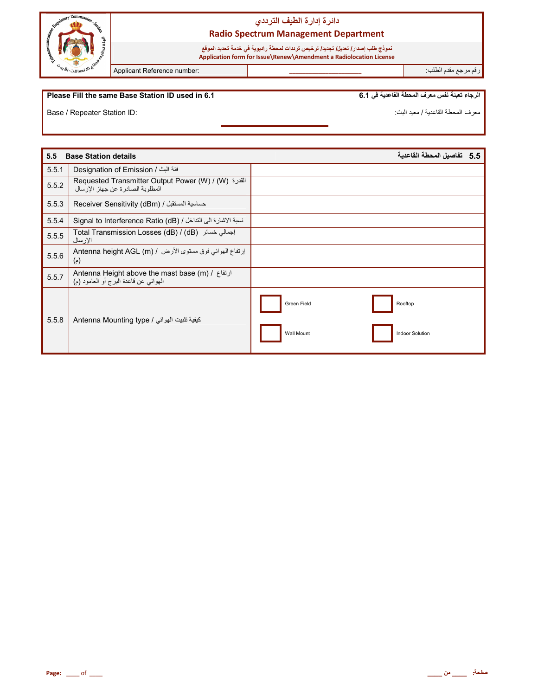

نموذج طلب إصدار **/ تعديل/ تجديد/ ترخيص ترددات لمحطة ر**اديوية في خدمة تحديد الموقع  **Application form for Issue\Renew\Amendment a Radiolocation License**

رم رf &دم اط\*ب: **\_\_\_\_\_\_\_\_\_\_\_\_\_\_\_\_\_\_\_\_\_\_** :number Reference Applicant

#### **Please Fill the same Base Station ID used in 6.1**

الرجاء تعبئة نفس معرف المحطة القاعدية في 6.1

Base / Repeater Station ID:

معرف المحطة القاعدية / معيد البث:

| 5.5   | <b>Base Station details</b>                                                                                                       | 5.5   تفاصيل المحطة القاعدية         |  |
|-------|-----------------------------------------------------------------------------------------------------------------------------------|--------------------------------------|--|
| 5.5.1 | فئة البث / Designation of Emission                                                                                                |                                      |  |
| 5.5.2 | Requested Transmitter Output Power (W) / (W) القدرة (Requested Transmitter Output Power (W)<br>المطلوبة الصادر ة عن جهاز الإر سال |                                      |  |
| 5.5.3 | Receiver Sensitivity (dBm) / حساسية المستقبل                                                                                      |                                      |  |
| 5.5.4 | نسبة الاشارة الى التداخل / Signal to Interference Ratio (dB)                                                                      |                                      |  |
| 5.5.5 | اجمالی خسائر (dB) / Total Transmission Losses (dB) / (dB)<br>الإرسال                                                              |                                      |  |
| 5.5.6 | إرتفاع الهوائي فوق مستوى الأرض / Antenna height AGL (m)<br>$(\epsilon)$                                                           |                                      |  |
| 5.5.7 | Antenna Height above the mast base (m) / ارتفاع /<br>الهوائي عن قاعدة البرج أو العامود (م)                                        |                                      |  |
| 5.5.8 | كيفية تثبيت الهوائي / Antenna Mounting type                                                                                       | Green Field<br>Rooftop               |  |
|       |                                                                                                                                   | Wall Mount<br><b>Indoor Solution</b> |  |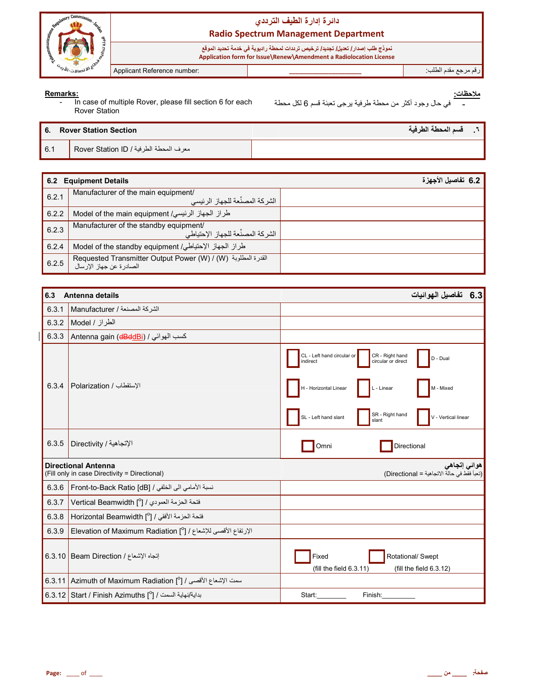

نموذج طلب إصدار/ تعديل/ تجديد/ ترخيص ترددات لمحطة راديوية في خدمة تحديد الموقع<br>Application form for Issue\Renew\Amendment a Radiolocation License

Applicant Reference number:

رقم مرجع مقدم الطلب:

#### Remarks:

In case of multiple Rover, please fill section 6 for each  $\blacksquare$ Rover Station

<u>ملاحظات:</u> في حال وجود أكثر من محطة طرفية يرجى تعبئة قسم 6 لكل محطة

|     | 6. Rover Station Section               | أ قسم المحطة الطرفية | - 7 |
|-----|----------------------------------------|----------------------|-----|
| 6.1 | معرف المحطة الطرفية / Rover Station ID |                      |     |

| 6.2   | <b>Equipment Details</b>                                                                                                    | 6.2 تفاصيل الأجهزة |
|-------|-----------------------------------------------------------------------------------------------------------------------------|--------------------|
| 6.2.1 | Manufacturer of the main equipment/<br>الشر كة المصنِّعة للجهاز الرئيسي                                                     |                    |
| 6.2.2 | طراز الجهاز الرئيسي/ Model of the main equipment                                                                            |                    |
| 6.2.3 | Manufacturer of the standby equipment/<br>الشركة المصنِّعة للجهاز الإحتياطي                                                 |                    |
| 6.2.4 | طراز الجهاز الإحتياطي/ Model of the standby equipment                                                                       |                    |
| 6.2.5 | Requested Transmitter Output Power (W) / (W) القدرة المطلوبة (Requested Transmitter Output Power<br>الصادرة عن جهاز الإرسال |                    |

| 6.3                                                                         | Antenna details                                                                     | 6.3 تفاصيل الهوائيات                                                                                                                            |
|-----------------------------------------------------------------------------|-------------------------------------------------------------------------------------|-------------------------------------------------------------------------------------------------------------------------------------------------|
| 6.3.1                                                                       | الشركة المصنعة / Manufacturer                                                       |                                                                                                                                                 |
| 6.3.2                                                                       | الطراز / Model                                                                      |                                                                                                                                                 |
| 6.3.3                                                                       | Antenna gain (dBddBi) / كسب الهوائي                                                 |                                                                                                                                                 |
| 6.3.4                                                                       | الإستقطاب / Polarization                                                            | CR - Right hand<br>CL - Left hand circular or<br>D - Dual<br>circular or direct<br>indirect<br>H - Horizontal Linear<br>L - Linear<br>M - Mixed |
|                                                                             |                                                                                     | SR - Right hand<br>SL - Left hand slant<br>V - Vertical linear<br>slant                                                                         |
| 6.3.5                                                                       | الإتجاهية / Directivity                                                             | Directional<br>Omni                                                                                                                             |
| <b>Directional Antenna</b><br>(Fill only in case Directivity = Directional) |                                                                                     | هوائي إتجاهي<br>(تعبأ فقط في حالة الاتجاهية = Directional)                                                                                      |
| 6.3.6                                                                       | نسبة الأمامي الى الخلفي / [GB] Front-to-Back Ratio                                  |                                                                                                                                                 |
| 6.3.7                                                                       | فتحة الحزمة العمودي / [0] Vertical Beamwidth                                        |                                                                                                                                                 |
| 6.3.8                                                                       | فتحة الحزمة الأفقى / [ <sup>0</sup> ] Horizontal Beamwidth                          |                                                                                                                                                 |
| 6.3.9                                                                       | الإرتفاع الأقصى للإشعاع / [º] Elevation of Maximum Radiation                        |                                                                                                                                                 |
|                                                                             | إتجاه الإشعاع / Beam Direction   6.3.10                                             | Fixed<br>Rotational/ Swept<br>(fill the field 6.3.11)<br>(fill the field $6.3.12$ )                                                             |
|                                                                             | 6.3.11 Azimuth of Maximum Radiation [ $^{\circ}$ ] / الأقصى / [ $^{\circ}$ ] 6.3.11 |                                                                                                                                                 |
|                                                                             | بداية/نهاية السمت / [ <sup>0</sup> ] Start / Finish Azimuths أَ 6.3.12              | Start:<br>Finish:                                                                                                                               |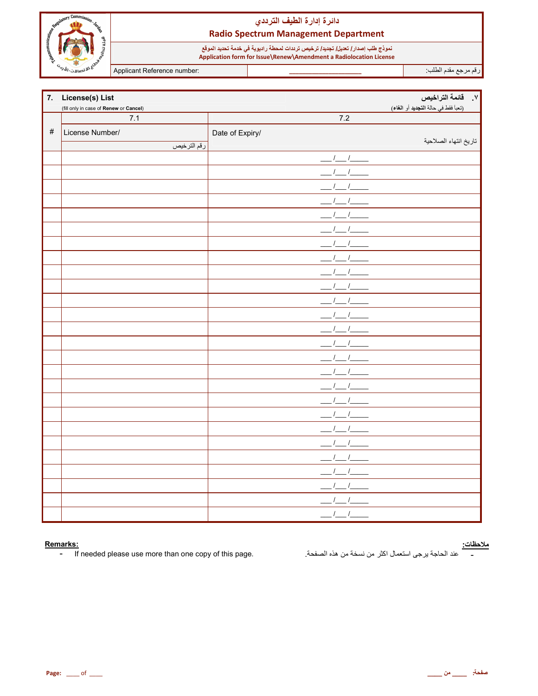

نموذج طلب إصدار/ تعديل/ تجديد/ ترخيص ترددات لمحطة راديوية في خدمة تحديد الموقع<br>Application form for Issue\Renew\Amendment a Radiolocation License

Applicant Reference number:

رقم مرجع مقدم الطلب<sup>.</sup>

|      | 7. License(s) List                     |                         | ٧. قائمة التراخيص                   |
|------|----------------------------------------|-------------------------|-------------------------------------|
|      | (fill only in case of Renew or Cancel) |                         | (تعبأ فقط في حالة التجديد أو الغاء) |
|      | 7.1                                    | 7.2                     |                                     |
| $\#$ | License Number/                        | Date of Expiry/         |                                     |
|      | رقم الترخيص                            |                         | تاريخ انتهاء الصلاحية               |
|      |                                        | $\frac{l}{l}$           |                                     |
|      |                                        |                         |                                     |
|      |                                        |                         |                                     |
|      |                                        |                         |                                     |
|      |                                        |                         |                                     |
|      |                                        |                         |                                     |
|      |                                        |                         |                                     |
|      |                                        |                         |                                     |
|      |                                        |                         |                                     |
|      |                                        |                         |                                     |
|      |                                        |                         |                                     |
|      |                                        | $^{\prime}$ $^{\prime}$ |                                     |
|      |                                        |                         |                                     |
|      |                                        |                         |                                     |
|      |                                        |                         |                                     |
|      |                                        |                         |                                     |
|      |                                        |                         |                                     |
|      |                                        |                         |                                     |
|      |                                        |                         |                                     |
|      |                                        |                         |                                     |
|      |                                        |                         |                                     |
|      |                                        |                         |                                     |
|      |                                        |                         |                                     |
|      |                                        |                         |                                     |
|      |                                        | $\frac{1}{2}$           |                                     |
|      |                                        | $1 \quad 1$             |                                     |

#### Remarks:

If needed please use more than one copy of this page.  $\omega_{\rm c}$ 

<mark>ملاحظات:</mark><br>\_\_\_\_\_\_ عند الحاجة يرجى استعمال اكثر من نسخة من هذه الصفحة<sub>.</sub>